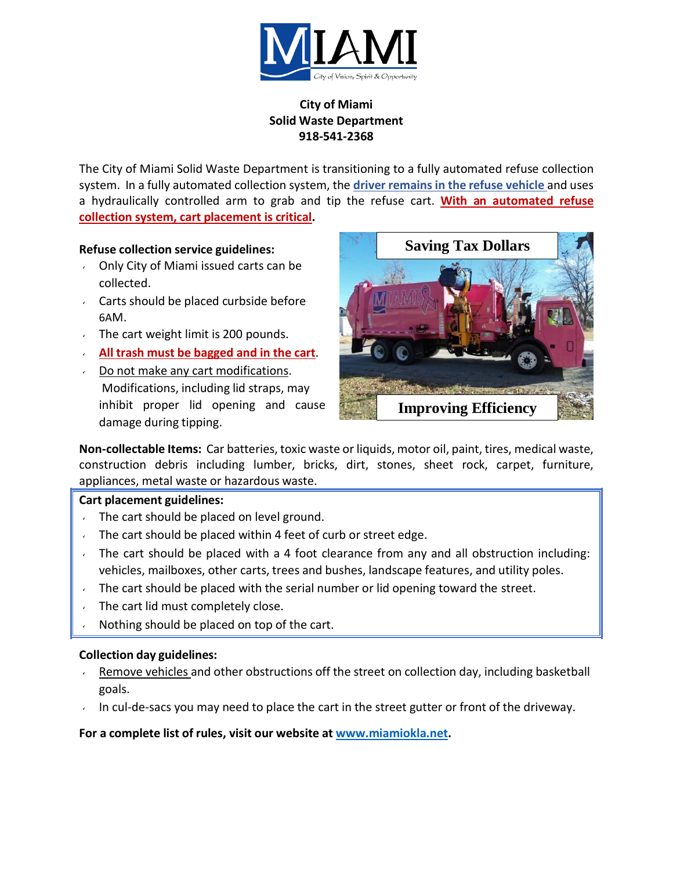

# **City of Miami Solid Waste Department 918-541-2368**

The City of Miami Solid Waste Department is transitioning to a fully automated refuse collection system. In a fully automated collection system, the **driver remainsin the refuse vehicle** and uses a hydraulically controlled arm to grab and tip the refuse cart. **With an automated refuse collection system, cart placement is critical.**

# **Refuse collection service guidelines:**

- Only City of Miami issued carts can be collected.
- Carts should be placed curbside before 6AM.
- The cart weight limit is 200 pounds.
- **All trash must be bagged and in the cart**.
- Do not make any cart modifications. Modifications, including lid straps, may inhibit proper lid opening and cause damage during tipping.



**Non-collectable Items:** Car batteries, toxic waste or liquids, motor oil, paint, tires, medical waste, construction debris including lumber, bricks, dirt, stones, sheet rock, carpet, furniture, appliances, metal waste or hazardous waste.

# **Cart placement guidelines:**

- The cart should be placed on level ground.
- The cart should be placed within 4 feet of curb or street edge.
- The cart should be placed with a 4 foot clearance from any and all obstruction including: vehicles, mailboxes, other carts, trees and bushes, landscape features, and utility poles.
- The cart should be placed with the serial number or lid opening toward the street.
- The cart lid must completely close.
- Nothing should be placed on top of the cart.

# **Collection day guidelines:**

- Remove vehicles and other obstructions off the street on collection day, including basketball goals.
- In cul-de-sacs you may need to place the cart in the street gutter or front of the driveway.

# **For a complete list of rules, visit our website at [www.miamiokla.net.](http://www.miamiokla.net/)**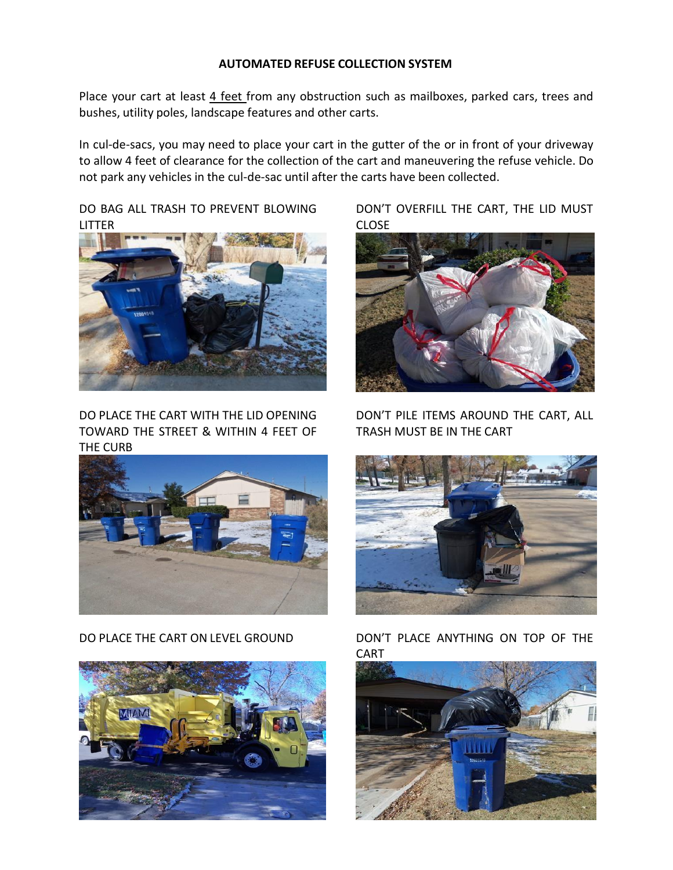#### **AUTOMATED REFUSE COLLECTION SYSTEM**

Place your cart at least 4 feet from any obstruction such as mailboxes, parked cars, trees and bushes, utility poles, landscape features and other carts.

In cul-de-sacs, you may need to place your cart in the gutter of the or in front of your driveway to allow 4 feet of clearance for the collection of the cart and maneuvering the refuse vehicle. Do not park any vehicles in the cul-de-sac until after the carts have been collected.

DO BAG ALL TRASH TO PREVENT BLOWING LITTER



DO PLACE THE CART WITH THE LID OPENING TOWARD THE STREET & WITHIN 4 FEET OF THE CURB



DO PLACE THE CART ON LEVEL GROUND



DON'T OVERFILL THE CART, THE LID MUST CLOSE



DON'T PILE ITEMS AROUND THE CART, ALL TRASH MUST BE IN THE CART



DON'T PLACE ANYTHING ON TOP OF THE **CART**